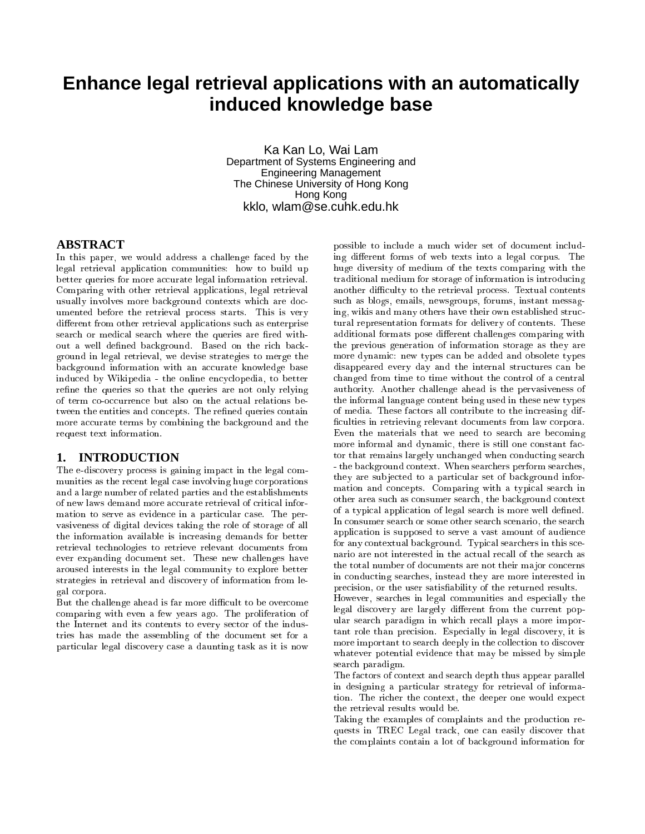# **Enhance legal retrieval applications with an automatically induced knowledge base**

Ka Kan Lo, Wai Lam Department of Systems Engineering and Engineering Management The Chinese University of Hong Kong Hong Kong kklo, wlam@se.cuhk.edu.hk

## **ABSTRACT**

In this paper, we would address a challenge faced by the legal retrieval application communities: how to build up better queries for more accurate legal information retrieval. Comparing with other retrieval applications, legal retrieval usually involves more background contexts which are documented before the retrieval process starts. This is very different from other retrieval applications such as enterprise search or medical search where the queries are fired without a well defined background. Based on the rich background in legal retrieval, we devise strategies to merge the background information with an accurate knowledge base induced by Wikipedia - the online encyclopedia, to better refine the queries so that the queries are not only relying of term co-occurrence but also on the actual relations between the entities and concepts. The refined queries contain more accurate terms by combining the background and the request text information.

## **1. INTRODUCTION**

The e-discovery process is gaining impact in the legal communities as the recent legal case involving huge corporations and a large number of related parties and the establishments of new laws demand more accurate retrieval of critical information to serve as evidence in a particular case. The pervasiveness of digital devices taking the role of storage of all the information available is increasing demands for better retrieval technologies to retrieve relevant documents from ever expanding document set. These new challenges have aroused interests in the legal community to explore better strategies in retrieval and discovery of information from legal corpora.

But the challenge ahead is far more difficult to be overcome comparing with even a few years ago. The proliferation of the Internet and its contents to every sector of the industries has made the assembling of the document set for a particular legal discovery case a daunting task as it is now

possible to include a much wider set of document including different forms of web texts into a legal corpus. The huge diversity of medium of the texts comparing with the traditional medium for storage of information is introducing another difficulty to the retrieval process. Textual contents such as blogs, emails, newsgroups, forums, instant messaging, wikis and many others have their own established structural representation formats for delivery of contents. These additional formats pose different challenges comparing with the previous generation of information storage as they are more dynamic: new types can be added and obsolete types disappeared every day and the internal structures can be changed from time to time without the control of a central authority. Another challenge ahead is the pervasiveness of the informal language content being used in these new types of media. These factors all contribute to the increasing dif ficulties in retrieving relevant documents from law corpora. Even the materials that we need to search are becoming more informal and dynamic, there is still one constant factor that remains largely unchanged when conducting search - the background context. When searchers perform searches, they are sub jected to a particular set of background information and concepts. Comparing with a typical search in other area such as consumer search, the background context of a typical application of legal search is more well defined. In consumer search or some other search scenario, the search application is supposed to serve a vast amount of audience for any contextual background. Typical searchers in this scenario are not interested in the actual recall of the search as the total number of documents are not their ma jor concerns in conducting searches, instead they are more interested in precision, or the user satisfiability of the returned results.

However, searches in legal communities and especially the legal discovery are largely different from the current popular search paradigm in which recall plays a more important role than precision. Especially in legal discovery, it is more important to search deeply in the collection to discover whatever potential evidence that may be missed by simple search paradigm.

The factors of context and search depth thus appear parallel in designing a particular strategy for retrieval of information. The richer the context, the deeper one would expect the retrieval results would be.

Taking the examples of complaints and the production requests in TREC Legal track, one can easily discover that the complaints contain a lot of background information for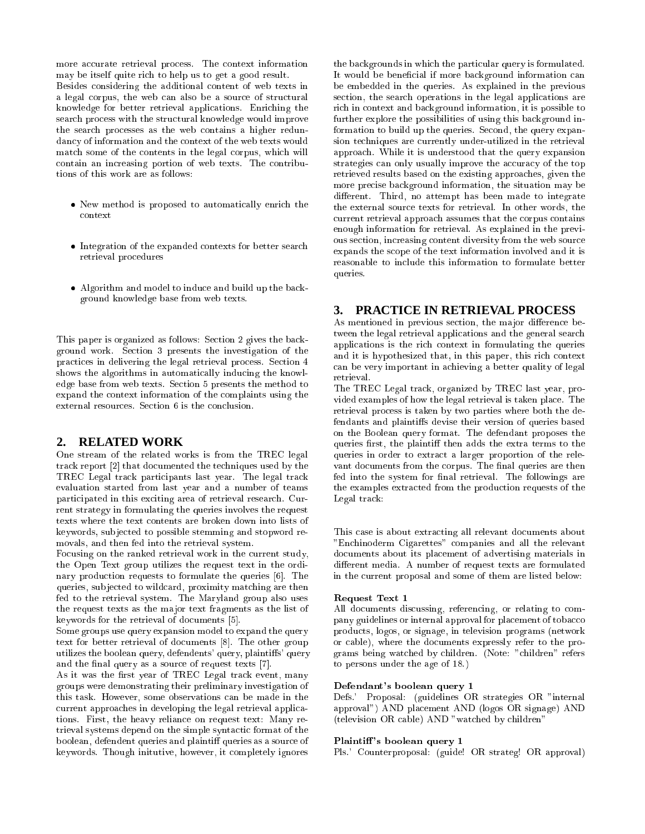more accurate retrieval process. The context information may be itself quite rich to help us to get a good result. Besides considering the additional content of web texts in a legal corpus, the web can also be a source of structural knowledge for better retrieval applications. Enriching the search process with the structural knowledge would improve the search processes as the web contains a higher redundancy of information and the context of the web texts would match some of the contents in the legal corpus, which will contain an increasing portion of web texts. The contributions of this work are as follows:

- New method is proposed to automatically enrich the context
- Integration of the expanded contexts for better search retrieval procedures
- Algorithm and model to induce and build up the background knowledge base from web texts.

This paper is organized as follows: Section 2 gives the background work. Section 3 presents the investigation of the practices in delivering the legal retrieval process. Section 4 shows the algorithms in automatically inducing the knowledge base from web texts. Section 5 presents the method to expand the context information of the complaints using the external resources. Section 6 is the conclusion.

## **2. RELATED WORK**

One stream of the related works is from the TREC legal track report [2] that documented the techniques used by the TREC Legal track participants last year. The legal track evaluation started from last year and a number of teams participated in this exciting area of retrieval research. Current strategy in formulating the queries involves the request texts where the text contents are broken down into lists of keywords, sub jected to possible stemming and stopword removals, and then fed into the retrieval system.

Focusing on the ranked retrieval work in the current study, the Open Text group utilizes the request text in the ordinary production requests to formulate the queries [6]. The queries, sub jected to wildcard, proximity matching are then fed to the retrieval system. The Maryland group also uses the request texts as the ma jor text fragments as the list of keywords for the retrieval of documents [5].

Some groups use query expansion model to expand the query text for better retrieval of documents [8]. The other group utilizes the boolean query, defendents' query, plaintiffs' query and the final query as a source of request texts [7].

As it was the first year of TREC Legal track event, many groups were demonstrating their preliminary investigation of this task. However, some observations can be made in the current approaches in developing the legal retrieval applications. First, the heavy reliance on request text: Many retrieval systems depend on the simple syntactic format of the boolean, defendent queries and plaintiff queries as a source of keywords. Though initutive, however, it completely ignores

the backgrounds in which the particular query is formulated. It would be beneficial if more background information can be embedded in the queries. As explained in the previous section, the search operations in the legal applications are rich in context and background information, it is possible to further explore the possibilities of using this background information to build up the queries. Second, the query expansion techniques are currently under-utilized in the retrieval approach. While it is understood that the query expansion strategies can only usually improve the accuracy of the top retrieved results based on the existing approaches, given the more precise background information, the situation may be different. Third, no attempt has been made to integrate the external source texts for retrieval. In other words, the current retrieval approach assumes that the corpus contains enough information for retrieval. As explained in the previous section, increasing content diversity from the web source expands the scope of the text information involved and it is reasonable to include this information to formulate better queries.

# **3. PRACTICE IN RETRIEVAL PROCESS**

As mentioned in previous section, the major difference between the legal retrieval applications and the general search applications is the rich context in formulating the queries and it is hypothesized that, in this paper, this rich context can be very important in achieving a better quality of legal retrieval.

The TREC Legal track, organized by TREC last year, provided examples of how the legal retrieval is taken place. The retrieval process is taken by two parties where both the defendants and plaintiffs devise their version of queries based on the Boolean query format. The defendant proposes the queries first, the plaintiff then adds the extra terms to the queries in order to extract a larger proportion of the relevant documents from the corpus. The final queries are then fed into the system for final retrieval. The followings are the examples extracted from the production requests of the Legal track:

This case is about extracting all relevant documents about "Enchinoderm Cigarettes" companies and all the relevant documents about its placement of advertising materials in different media. A number of request texts are formulated in the current proposal and some of them are listed below:

#### Request Text 1

All documents discussing, referencing, or relating to company guidelines or internal approval for placement of tobacco products, logos, or signage, in television programs (network or cable), where the documents expressly refer to the programs being watched by children. (Note: "children" refers to persons under the age of 18.)

#### Defendant's boolean query 1

Defs.' Proposal: (guidelines OR strategies OR "internal approval") AND placement AND (logos OR signage) AND (television OR cable) AND "watched by children"

#### Plaintiff's boolean query 1

Pls.' Counterproposal: (guide! OR strateg! OR approval)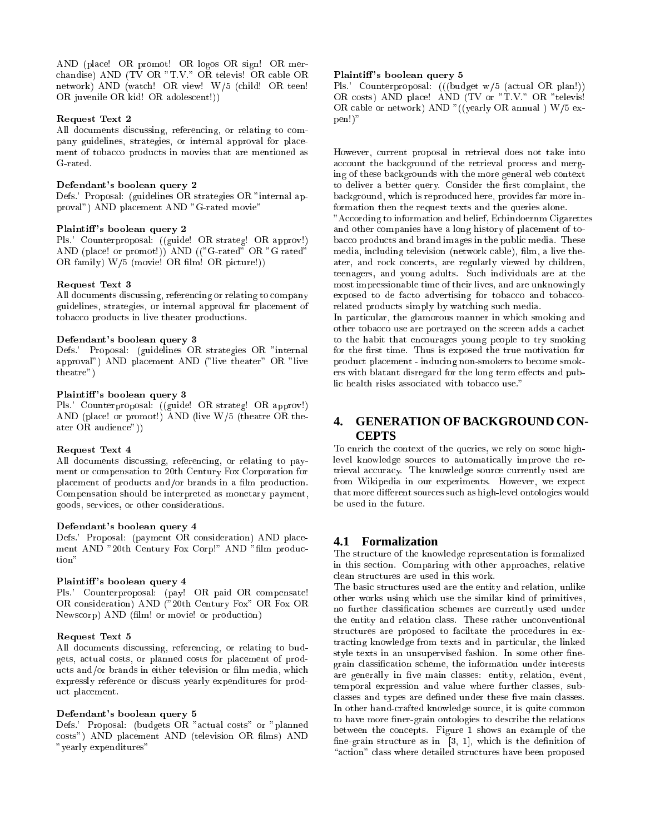AND (place! OR promot! OR logos OR sign! OR merchandise) AND (TV OR "T.V." OR televis! OR cable OR network) AND (watch! OR view! W/5 (child! OR teen! OR juvenile OR kid! OR adolescent!))

#### Request Text 2

All documents discussing, referencing, or relating to company guidelines, strategies, or internal approval for placement of tobacco products in movies that are mentioned as G-rated.

#### Defendant's boolean query 2

Defs.' Proposal: (guidelines OR strategies OR "internal approval") AND placement AND "G-rated movie"

#### Plaintiff's boolean query 2

Pls.' Counterproposal: ((guide! OR strateg! OR approv!) AND (place! or promot!)) AND (("G-rated" OR "G rated" OR family) W/5 (movie! OR film! OR picture!))

#### Request Text 3

All documents discussing, referencing or relating to company guidelines, strategies, or internal approval for placement of tobacco products in live theater productions.

#### Defendant's boolean query 3

Defs.' Proposal: (guidelines OR strategies OR "internal approval") AND placement AND ("live theater" OR "live theatre")

#### Plaintiff's boolean query 3

Pls.' Counterproposal: ((guide! OR strateg! OR approv!) AND (place! or promot!) AND (live W/5 (theatre OR theater OR audience"))

#### Request Text 4

All documents discussing, referencing, or relating to payment or compensation to 20th Century Fox Corporation for placement of products and/or brands in a film production. Compensation should be interpreted as monetary payment, goods, services, or other considerations.

#### Defendant's boolean query 4

Defs.' Proposal: (payment OR consideration) AND placement AND "20th Century Fox Corp!" AND "film production"

#### Plaintiff's boolean query 4

Pls.' Counterproposal: (pay! OR paid OR compensate! OR consideration) AND ("20th Century Fox" OR Fox OR Newscorp) AND (film! or movie! or production)

#### Request Text 5

All documents discussing, referencing, or relating to budgets, actual costs, or planned costs for placement of products and/or brands in either television or film media, which expressly reference or discuss yearly expenditures for product placement.

#### Defendant's boolean query 5

Defs.' Proposal: (budgets OR "actual costs" or "planned costs") AND placement AND (television OR films) AND "yearly expenditures"

#### Plaintiff's boolean query 5

Pls.' Counterproposal: (((budget w/5 (actual OR plan!)) OR costs) AND place! AND (TV or "T.V." OR "televis! OR cable or network) AND "((yearly OR annual ) W/5 expen!)"

However, current proposal in retrieval does not take into account the background of the retrieval process and merging of these backgrounds with the more general web context to deliver a better query. Consider the first complaint, the background, which is reproduced here, provides far more information then the request texts and the queries alone.

"According to information and belief, Echindoernm Cigarettes and other companies have a long history of placement of tobacco products and brand images in the public media. These media, including television (network cable), film, a live theater, and rock concerts, are regularly viewed by children, teenagers, and young adults. Such individuals are at the most impressionable time of their lives, and are unknowingly exposed to de facto advertising for tobacco and tobaccorelated products simply by watching such media.

In particular, the glamorous manner in which smoking and other tobacco use are portrayed on the screen adds a cachet to the habit that encourages young people to try smoking for the first time. Thus is exposed the true motivation for product placement - inducing non-smokers to become smokers with blatant disregard for the long term effects and public health risks associated with tobacco use."

# **4. GENERATION OF BACKGROUND CON-CEPTS**

To enrich the context of the queries, we rely on some highlevel knowledge sources to automatically improve the retrieval accuracy. The knowledge source currently used are from Wikipedia in our experiments. However, we expect that more different sources such as high-level ontologies would be used in the future.

## **4.1 Formalization**

The structure of the knowledge representation is formalized in this section. Comparing with other approaches, relative clean structures are used in this work.

The basic structures used are the entity and relation, unlike other works using which use the similar kind of primitives, no further classication schemes are currently used under the entity and relation class. These rather unconventional structures are proposed to faciltate the procedures in extracting knowledge from texts and in particular, the linked style texts in an unsupervised fashion. In some other finegrain classication scheme, the information under interests are generally in five main classes: entity, relation, event, temporal expression and value where further classes, subclasses and types are defined under these five main classes. In other hand-crafted knowledge source, it is quite common to have more finer-grain ontologies to describe the relations between the concepts. Figure 1 shows an example of the fine-grain structure as in  $[3, 1]$ , which is the definition of "action" class where detailed structures have been proposed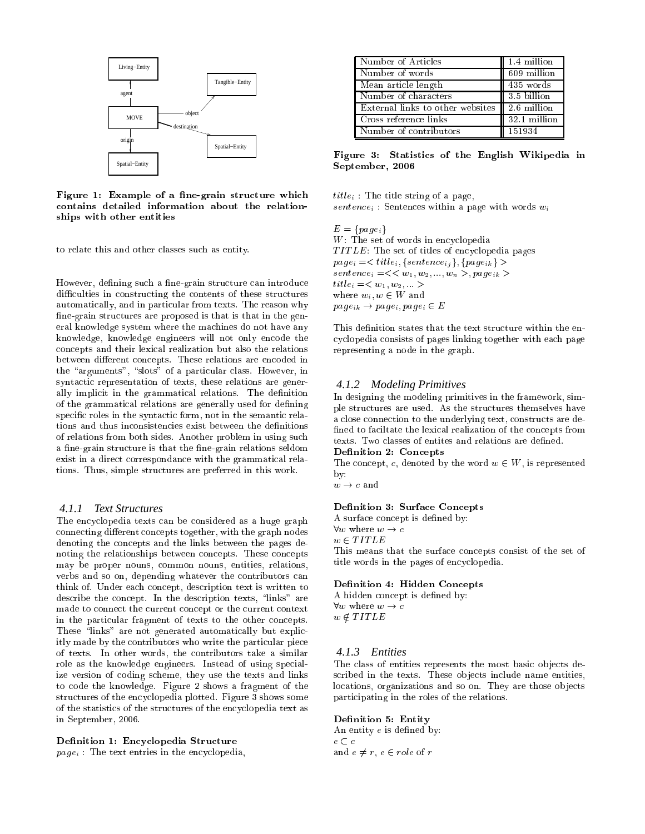

Figure 1: Example of a fine-grain structure which contains detailed information about the relationships with other entities

to relate this and other classes such as entity.

However, defining such a fine-grain structure can introduce difficulties in constructing the contents of these structures automatically, and in particular from texts. The reason why fine-grain structures are proposed is that is that in the general knowledge system where the machines do not have any knowledge, knowledge engineers will not only encode the concepts and their lexical realization but also the relations between different concepts. These relations are encoded in the "arguments", "slots" of a particular class. However, in syntactic representation of texts, these relations are generally implicit in the grammatical relations. The definition of the grammatical relations are generally used for defining specific roles in the syntactic form, not in the semantic relations and thus inconsistencies exist between the definitions of relations from both sides. Another problem in using such a fine-grain structure is that the fine-grain relations seldom exist in a direct correspondance with the grammatical relations. Thus, simple structures are preferred in this work.

## *4.1.1 Text Structures*

The encyclopedia texts can be considered as a huge graph connecting different concepts together, with the graph nodes denoting the concepts and the links between the pages denoting the relationships between concepts. These concepts may be proper nouns, common nouns, entities, relations, verbs and so on, depending whatever the contributors can think of. Under each concept, description text is written to describe the concept. In the description texts, "links" are made to connect the current concept or the current context in the particular fragment of texts to the other concepts. These "links" are not generated automatically but explicitly made by the contributors who write the particular piece of texts. In other words, the contributors take a similar role as the knowledge engineers. Instead of using specialize version of coding scheme, they use the texts and links to code the knowledge. Figure 2 shows a fragment of the structures of the encyclopedia plotted. Figure 3 shows some of the statistics of the structures of the encyclopedia text as in September, 2006.

#### Definition 1: Encyclopedia Structure

 $page_i$ : The text entries in the encyclopedia,

| Number of Articles                                       | 1.4 million  |
|----------------------------------------------------------|--------------|
| Number of words                                          | 609 million  |
| Mean article length                                      | 435 words    |
| Number of characters                                     | 3.5 billion  |
| External links to other websites $\parallel$ 2.6 million |              |
| Cross reference links                                    | 32.1 million |
| Number of contributors                                   | 151934       |

Figure 3: Statistics of the English Wikipedia in September, 2006

 $title_i$ : The title string of a page,  $sentence_i$ : Sentences within a page with words  $w_i$ 

 $-$  fpaces  $-$ W: The set of words in encyclopedia  $T$ *ITLE*: The set of titles of encyclopedia pages  $page_i = < title_i, {sentence_i}, {page_i} >$  $sentence_i = \lt\lt w_1, w_2, ..., w_n >, page_{ik} >$  $title_i =$ where  $w_i, w \in W$  and  $page_{ik} \rightarrow page_{i}, page_{i} \in E$ 

This definition states that the text structure within the encyclopedia consists of pages linking together with each page representing a node in the graph.

## *4.1.2 Modeling Primitives*

In designing the modeling primitives in the framework, simple structures are used. As the structures themselves have a close connection to the underlying text, constructs are de fined to faciltate the lexical realization of the concepts from texts. Two classes of entites and relations are defined.

## Definition 2: Concepts

The concept, c, denoted by the word  $w \in W$ , is represented by:

#### Definition 3: Surface Concepts

A surface concept is defined by:

**x** 2  $-$ This means that the surface concepts consist of the set of title words in the pages of encyclopedia.

#### Definition 4: Hidden Concepts

A hidden concept is defined by:  $8.88$  where we have we have we have we have a set of  $\sim$  $\sim$   $\sim$   $\sim$   $\sim$   $\sim$   $\sim$ 

#### *4.1.3 Entities*

The class of entities represents the most basic ob jects described in the texts. These objects include name entities, locations, organizations and so on. They are those objects participating in the roles of the relations.

#### Definition 5: Entity

An entity  $e$  is defined by:  $$ and  $e \neq r$ ,  $e \in role$  of r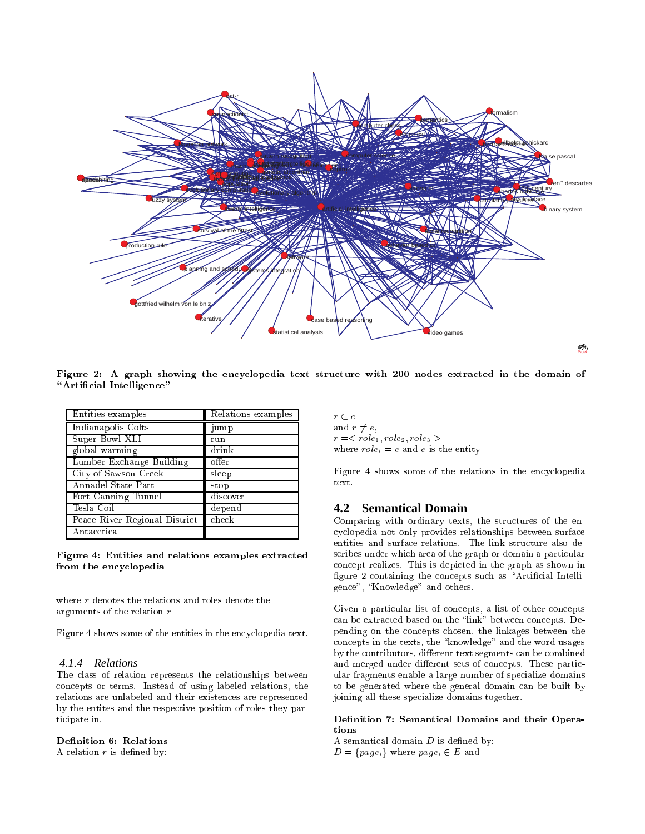

Figure 2: A graph showing the encyclopedia text structure with 200 nodes extracted in the domain of "Artificial Intelligence"

| Entities examples             | Relations examples |
|-------------------------------|--------------------|
| Indianapolis Colts            | jump               |
| Super Bowl XLI                | run                |
| global warming                | drink              |
| Lumber Exchange Building      | offer              |
| City of Sawson Creek          | sleep              |
| Annadel State Part            | stop               |
| Fort Canning Tunnel           | discover           |
| Tesla Coil                    | depend             |
| Peace River Regional District | check              |
| Antaectica                    |                    |

Figure 4: Entities and relations examples extracted from the encyclopedia

where  $r$  denotes the relations and roles denote the arguments of the relation <sup>r</sup>

Figure 4 shows some of the entities in the encyclopedia text.

## *4.1.4 Relations*

The class of relation represents the relationships between concepts or terms. Instead of using labeled relations, the relations are unlabeled and their existences are represented by the entites and the respective position of roles they participate in.

## Definition 6: Relations

A relation  $r$  is defined by:

r <sup>c</sup> and  $r \neq e$ , r =< role1; role2; role3 <sup>&</sup>gt; where  $role_i = e$  and  $e$  is the entity

Figure 4 shows some of the relations in the encyclopedia text.

## **4.2 Semantical Domain**

Comparing with ordinary texts, the structures of the encyclopedia not only provides relationships between surface entities and surface relations. The link structure also describes under which area of the graph or domain a particular concept realizes. This is depicted in the graph as shown in figure 2 containing the concepts such as "Artificial Intelligence", "Knowledge" and others.

Given a particular list of concepts, a list of other concepts can be extracted based on the \link" between concepts. Depending on the concepts chosen, the linkages between the concepts in the texts, the \knowledge" and the word usages by the contributors, different text segments can be combined and merged under different sets of concepts. These particular fragments enable a large number of specialize domains to be generated where the general domain can be built by joining all these specialize domains together.

### Definition 7: Semantical Domains and their Operations

A semantical domain  $D$  is defined by: D <sup>=</sup> fpageig where pagei <sup>2</sup> <sup>E</sup> and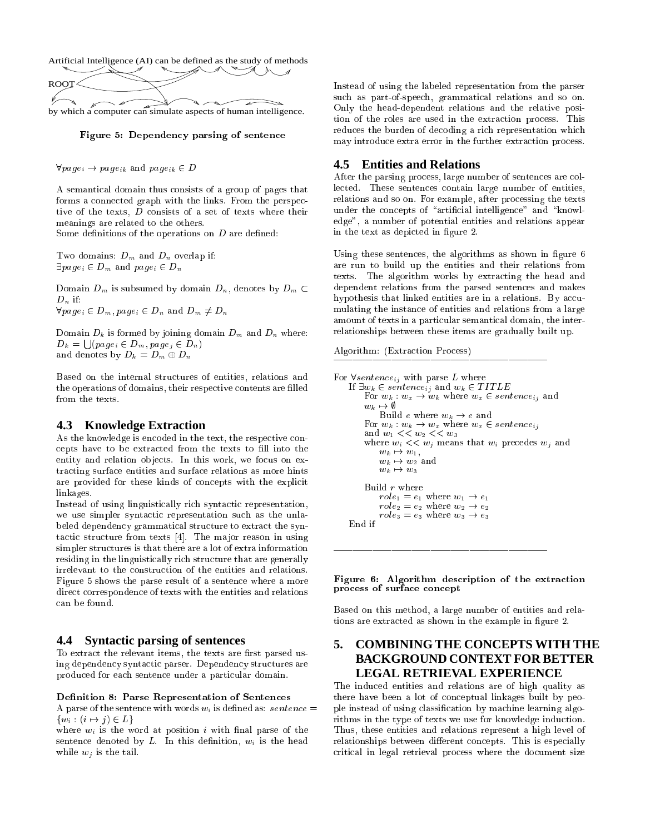

Figure 5: Dependency parsing of sentence

 $\forall page_i \rightarrow page_{ik}$  and  $page_{ik} \in D$ 

A semantical domain thus consists of a group of pages that forms a connected graph with the links. From the perspective of the texts, <sup>D</sup> consists of a set of texts where their meanings are related to the others.

Some definitions of the operations on  $D$  are defined:

Two domains:  $D_m$  and  $D_n$  overlap if:  $\exists page_i \in D_m$  and  $page_i \in D_n$ 

Domain  $D_m$  is subsumed by domain  $D_n$ , denotes by  $D_m \subset$  $D_n$  if:  $\forall page_i \in D_m, page_i \in D_n$  and  $D_m \neq D_n$ 

Domain  $D_k$  is formed by joining domain  $D_m$  and  $D_n$  where:  $D_k = \bigcup (page_i \in D_m, page_i \in D_n)$ and denotes by  $D_k = D_m \oplus D_n$ 

Based on the internal structures of entities, relations and the operations of domains, their respective contents are filled from the texts.

# **4.3 Knowledge Extraction**

As the knowledge is encoded in the text, the respective concepts have to be extracted from the texts to fill into the entity and relation objects. In this work, we focus on extracting surface entities and surface relations as more hints are provided for these kinds of concepts with the explicit linkages.

Instead of using linguistically rich syntactic representation, we use simpler syntactic representation such as the unlabeled dependency grammatical structure to extract the syntactic structure from texts [4]. The major reason in using simpler structures is that there are a lot of extra information residing in the linguistically rich structure that are generally irrelevant to the construction of the entities and relations. Figure 5 shows the parse result of a sentence where a more direct correspondence of texts with the entities and relations can be found.

## **4.4 Syntactic parsing of sentences**

To extract the relevant items, the texts are first parsed using dependency syntactic parser. Dependency structures are produced for each sentence under a particular domain.

#### Definition 8: Parse Representation of Sentences

A parse of the sentence with words  $w_i$  is defined as: sentence =  $\{w_i : (i \mapsto j) \in L\}$ 

where  $w_i$  is the word at position i with final parse of the sentence denoted by  $L$ . In this definition,  $w_i$  is the head while  $w_j$  is the tail.

Instead of using the labeled representation from the parser such as part-of-speech, grammatical relations and so on. Only the head-dependent relations and the relative position of the roles are used in the extraction process. This reduces the burden of decoding a rich representation which may introduce extra error in the further extraction process.

# **4.5 Entities and Relations**

After the parsing process, large number of sentences are collected. These sentences contain large number of entities, relations and so on. For example, after processing the texts under the concepts of "artificial intelligence" and "knowledge", a number of potential entities and relations appear in the text as depicted in figure 2.

Using these sentences, the algorithms as shown in figure 6 are run to build up the entities and their relations from texts. The algorithm works by extracting the head and dependent relations from the parsed sentences and makes hypothesis that linked entities are in a relations. By accumulating the instance of entities and relations from a large amount of texts in a particular semantical domain, the interrelationships between these items are gradually built up.

Algorithm: (Extraction Process)

```
For \forall sentence_{ij} with parse L where
If \exists w_k \in sentence_{ij} and w_k \in TITLEFor w_k : w_x \to w_k where w_x \in sentence_{ij} and
     w_k \mapsto \emptysetBuild e where w_k \to e and
     For w_k : w_k \to w_x where w_x \in sentence_{ij}and w_1 \ll w_2 \ll w_3where w_i \ll w_j means that w_i precedes w_j and
         w_k \mapsto w_1,w_k \mapsto w_2 and
         w_k \mapsto w_3Build r where
         role_1 = e_1 where w_1 \rightarrow e_1role_2 = e_2 where w_2 \rightarrow e_2role_3 = e_3 where w_3 \rightarrow e_3End if
```
Figure 6: Algorithm description of the extraction process of surface concept

Based on this method, a large number of entities and relations are extracted as shown in the example in figure 2.

# **5. COMBINING THE CONCEPTS WITH THE BACKGROUND CONTEXT FOR BETTER LEGAL RETRIEVAL EXPERIENCE**

The induced entities and relations are of high quality as there have been a lot of conceptual linkages built by people instead of using classication by machine learning algorithms in the type of texts we use for knowledge induction. Thus, these entities and relations represent a high level of relationships between different concepts. This is especially critical in legal retrieval process where the document size